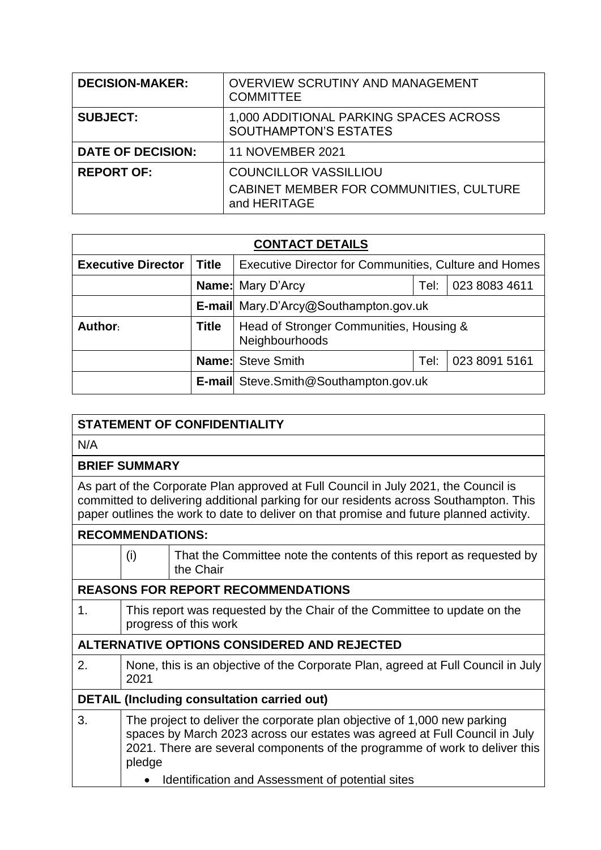| <b>DECISION-MAKER:</b>   | OVERVIEW SCRUTINY AND MANAGEMENT<br><b>COMMITTEE</b>                                    |
|--------------------------|-----------------------------------------------------------------------------------------|
| <b>SUBJECT:</b>          | 1,000 ADDITIONAL PARKING SPACES ACROSS<br><b>SOUTHAMPTON'S ESTATES</b>                  |
| <b>DATE OF DECISION:</b> | <b>11 NOVEMBER 2021</b>                                                                 |
| <b>REPORT OF:</b>        | <b>COUNCILLOR VASSILLIOU</b><br>CABINET MEMBER FOR COMMUNITIES, CULTURE<br>and HERITAGE |

| <b>CONTACT DETAILS</b>    |              |                                                              |      |               |  |
|---------------------------|--------------|--------------------------------------------------------------|------|---------------|--|
| <b>Executive Director</b> | <b>Title</b> | <b>Executive Director for Communities, Culture and Homes</b> |      |               |  |
|                           |              | 023 8083 4611<br><b>Name:</b> Mary D'Arcy<br>Tel:            |      |               |  |
|                           |              | E-mail Mary.D'Arcy@Southampton.gov.uk                        |      |               |  |
| Author:                   | <b>Title</b> | Head of Stronger Communities, Housing &<br>Neighbourhoods    |      |               |  |
|                           |              | <b>Name:</b> Steve Smith                                     | Tel: | 023 8091 5161 |  |
|                           |              | <b>E-mail</b> Steve. Smith@Southampton.gov.uk                |      |               |  |

### **STATEMENT OF CONFIDENTIALITY**

N/A

#### **BRIEF SUMMARY**

As part of the Corporate Plan approved at Full Council in July 2021, the Council is committed to delivering additional parking for our residents across Southampton. This paper outlines the work to date to deliver on that promise and future planned activity.

# **RECOMMENDATIONS:**

|                                                    | (i)                                                                                                                                                                                                                                             | That the Committee note the contents of this report as requested by<br>the Chair |  |  |  |
|----------------------------------------------------|-------------------------------------------------------------------------------------------------------------------------------------------------------------------------------------------------------------------------------------------------|----------------------------------------------------------------------------------|--|--|--|
|                                                    | <b>REASONS FOR REPORT RECOMMENDATIONS</b>                                                                                                                                                                                                       |                                                                                  |  |  |  |
| 1.                                                 | This report was requested by the Chair of the Committee to update on the<br>progress of this work                                                                                                                                               |                                                                                  |  |  |  |
| ALTERNATIVE OPTIONS CONSIDERED AND REJECTED        |                                                                                                                                                                                                                                                 |                                                                                  |  |  |  |
| 2.                                                 | None, this is an objective of the Corporate Plan, agreed at Full Council in July<br>2021                                                                                                                                                        |                                                                                  |  |  |  |
| <b>DETAIL (Including consultation carried out)</b> |                                                                                                                                                                                                                                                 |                                                                                  |  |  |  |
| 3.                                                 | The project to deliver the corporate plan objective of 1,000 new parking<br>spaces by March 2023 across our estates was agreed at Full Council in July<br>2021. There are several components of the programme of work to deliver this<br>pledge |                                                                                  |  |  |  |
|                                                    | $\bullet$                                                                                                                                                                                                                                       | Identification and Assessment of potential sites                                 |  |  |  |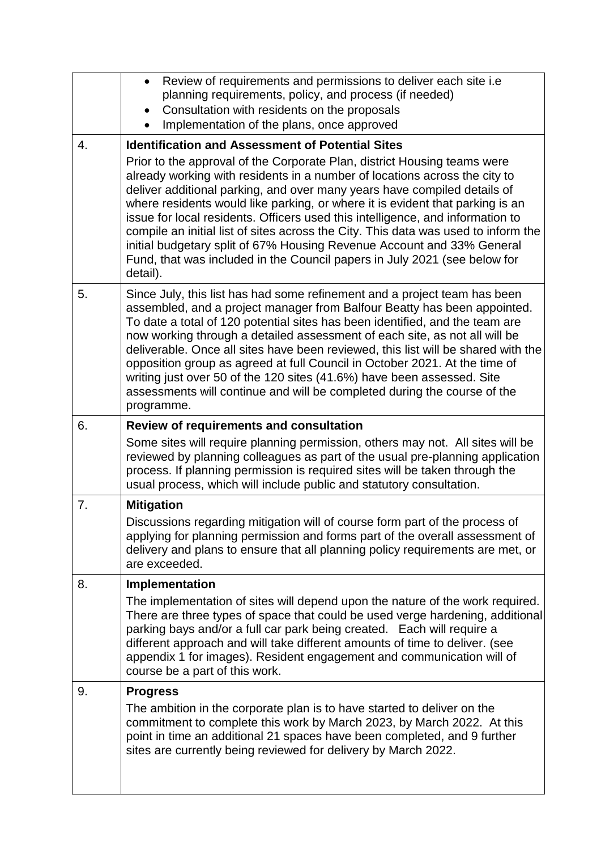|    | Review of requirements and permissions to deliver each site i.e.<br>$\bullet$<br>planning requirements, policy, and process (if needed)<br>Consultation with residents on the proposals<br>$\bullet$<br>Implementation of the plans, once approved                                                                                                                                                                                                                                                                                                                                                                                                             |  |  |  |  |
|----|----------------------------------------------------------------------------------------------------------------------------------------------------------------------------------------------------------------------------------------------------------------------------------------------------------------------------------------------------------------------------------------------------------------------------------------------------------------------------------------------------------------------------------------------------------------------------------------------------------------------------------------------------------------|--|--|--|--|
| 4. | <b>Identification and Assessment of Potential Sites</b>                                                                                                                                                                                                                                                                                                                                                                                                                                                                                                                                                                                                        |  |  |  |  |
|    | Prior to the approval of the Corporate Plan, district Housing teams were<br>already working with residents in a number of locations across the city to<br>deliver additional parking, and over many years have compiled details of<br>where residents would like parking, or where it is evident that parking is an<br>issue for local residents. Officers used this intelligence, and information to<br>compile an initial list of sites across the City. This data was used to inform the<br>initial budgetary split of 67% Housing Revenue Account and 33% General<br>Fund, that was included in the Council papers in July 2021 (see below for<br>detail). |  |  |  |  |
| 5. | Since July, this list has had some refinement and a project team has been<br>assembled, and a project manager from Balfour Beatty has been appointed.<br>To date a total of 120 potential sites has been identified, and the team are<br>now working through a detailed assessment of each site, as not all will be<br>deliverable. Once all sites have been reviewed, this list will be shared with the<br>opposition group as agreed at full Council in October 2021. At the time of<br>writing just over 50 of the 120 sites (41.6%) have been assessed. Site<br>assessments will continue and will be completed during the course of the<br>programme.     |  |  |  |  |
| 6. | <b>Review of requirements and consultation</b>                                                                                                                                                                                                                                                                                                                                                                                                                                                                                                                                                                                                                 |  |  |  |  |
|    | Some sites will require planning permission, others may not. All sites will be<br>reviewed by planning colleagues as part of the usual pre-planning application<br>process. If planning permission is required sites will be taken through the<br>usual process, which will include public and statutory consultation.                                                                                                                                                                                                                                                                                                                                         |  |  |  |  |
| 7. | <b>Mitigation</b>                                                                                                                                                                                                                                                                                                                                                                                                                                                                                                                                                                                                                                              |  |  |  |  |
|    | Discussions regarding mitigation will of course form part of the process of<br>applying for planning permission and forms part of the overall assessment of<br>delivery and plans to ensure that all planning policy requirements are met, or<br>are exceeded.                                                                                                                                                                                                                                                                                                                                                                                                 |  |  |  |  |
| 8. | <b>Implementation</b>                                                                                                                                                                                                                                                                                                                                                                                                                                                                                                                                                                                                                                          |  |  |  |  |
|    | The implementation of sites will depend upon the nature of the work required.<br>There are three types of space that could be used verge hardening, additional<br>parking bays and/or a full car park being created. Each will require a<br>different approach and will take different amounts of time to deliver. (see<br>appendix 1 for images). Resident engagement and communication will of<br>course be a part of this work.                                                                                                                                                                                                                             |  |  |  |  |
| 9. | <b>Progress</b>                                                                                                                                                                                                                                                                                                                                                                                                                                                                                                                                                                                                                                                |  |  |  |  |
|    | The ambition in the corporate plan is to have started to deliver on the<br>commitment to complete this work by March 2023, by March 2022. At this<br>point in time an additional 21 spaces have been completed, and 9 further<br>sites are currently being reviewed for delivery by March 2022.                                                                                                                                                                                                                                                                                                                                                                |  |  |  |  |
|    |                                                                                                                                                                                                                                                                                                                                                                                                                                                                                                                                                                                                                                                                |  |  |  |  |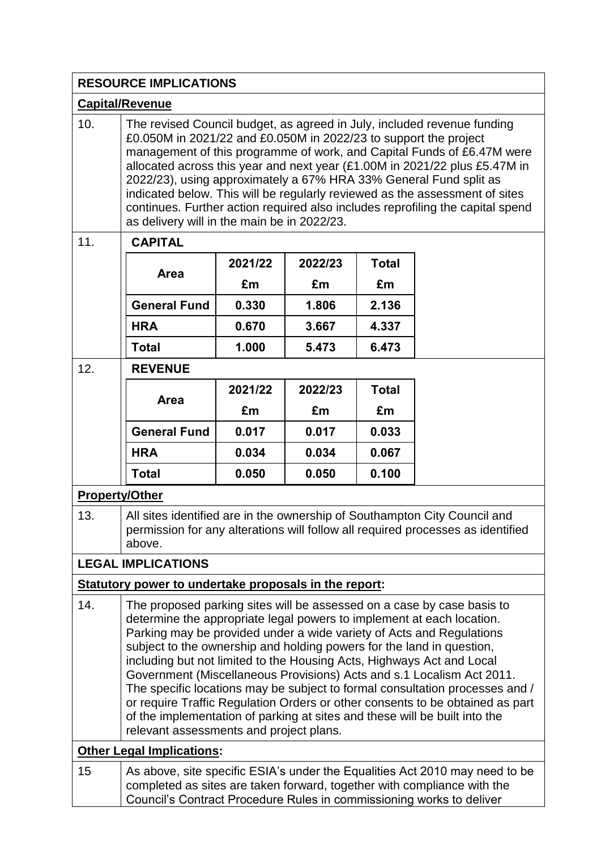|                                  | <b>RESOURCE IMPLICATIONS</b>                                                                                                                                                                                                                                                                                                                                                                                                                                                                                                                                                                                                                                                                                                                 |         |         |              |  |
|----------------------------------|----------------------------------------------------------------------------------------------------------------------------------------------------------------------------------------------------------------------------------------------------------------------------------------------------------------------------------------------------------------------------------------------------------------------------------------------------------------------------------------------------------------------------------------------------------------------------------------------------------------------------------------------------------------------------------------------------------------------------------------------|---------|---------|--------------|--|
| <b>Capital/Revenue</b>           |                                                                                                                                                                                                                                                                                                                                                                                                                                                                                                                                                                                                                                                                                                                                              |         |         |              |  |
| 10.                              | The revised Council budget, as agreed in July, included revenue funding<br>£0.050M in 2021/22 and £0.050M in 2022/23 to support the project<br>management of this programme of work, and Capital Funds of £6.47M were<br>allocated across this year and next year (£1.00M in 2021/22 plus £5.47M in<br>2022/23), using approximately a 67% HRA 33% General Fund split as<br>indicated below. This will be regularly reviewed as the assessment of sites<br>continues. Further action required also includes reprofiling the capital spend<br>as delivery will in the main be in 2022/23.                                                                                                                                                     |         |         |              |  |
| 11.                              | <b>CAPITAL</b>                                                                                                                                                                                                                                                                                                                                                                                                                                                                                                                                                                                                                                                                                                                               |         |         |              |  |
|                                  | Area                                                                                                                                                                                                                                                                                                                                                                                                                                                                                                                                                                                                                                                                                                                                         | 2021/22 | 2022/23 | <b>Total</b> |  |
|                                  |                                                                                                                                                                                                                                                                                                                                                                                                                                                                                                                                                                                                                                                                                                                                              | £m      | £m      | £m           |  |
|                                  | <b>General Fund</b>                                                                                                                                                                                                                                                                                                                                                                                                                                                                                                                                                                                                                                                                                                                          | 0.330   | 1.806   | 2.136        |  |
|                                  | <b>HRA</b>                                                                                                                                                                                                                                                                                                                                                                                                                                                                                                                                                                                                                                                                                                                                   | 0.670   | 3.667   | 4.337        |  |
|                                  | <b>Total</b>                                                                                                                                                                                                                                                                                                                                                                                                                                                                                                                                                                                                                                                                                                                                 | 1.000   | 5.473   | 6.473        |  |
| 12.                              | <b>REVENUE</b>                                                                                                                                                                                                                                                                                                                                                                                                                                                                                                                                                                                                                                                                                                                               |         |         |              |  |
|                                  | Area                                                                                                                                                                                                                                                                                                                                                                                                                                                                                                                                                                                                                                                                                                                                         | 2021/22 | 2022/23 | <b>Total</b> |  |
|                                  |                                                                                                                                                                                                                                                                                                                                                                                                                                                                                                                                                                                                                                                                                                                                              | £m      | £m      | £m           |  |
|                                  | <b>General Fund</b>                                                                                                                                                                                                                                                                                                                                                                                                                                                                                                                                                                                                                                                                                                                          | 0.017   | 0.017   | 0.033        |  |
|                                  | <b>HRA</b>                                                                                                                                                                                                                                                                                                                                                                                                                                                                                                                                                                                                                                                                                                                                   | 0.034   | 0.034   | 0.067        |  |
|                                  | <b>Total</b>                                                                                                                                                                                                                                                                                                                                                                                                                                                                                                                                                                                                                                                                                                                                 | 0.050   | 0.050   | 0.100        |  |
| <b>Property/Other</b>            |                                                                                                                                                                                                                                                                                                                                                                                                                                                                                                                                                                                                                                                                                                                                              |         |         |              |  |
| 13.                              | All sites identified are in the ownership of Southampton City Council and<br>permission for any alterations will follow all required processes as identified<br>above.                                                                                                                                                                                                                                                                                                                                                                                                                                                                                                                                                                       |         |         |              |  |
|                                  | <b>LEGAL IMPLICATIONS</b>                                                                                                                                                                                                                                                                                                                                                                                                                                                                                                                                                                                                                                                                                                                    |         |         |              |  |
|                                  | Statutory power to undertake proposals in the report:                                                                                                                                                                                                                                                                                                                                                                                                                                                                                                                                                                                                                                                                                        |         |         |              |  |
| 14.                              | The proposed parking sites will be assessed on a case by case basis to<br>determine the appropriate legal powers to implement at each location.<br>Parking may be provided under a wide variety of Acts and Regulations<br>subject to the ownership and holding powers for the land in question,<br>including but not limited to the Housing Acts, Highways Act and Local<br>Government (Miscellaneous Provisions) Acts and s.1 Localism Act 2011.<br>The specific locations may be subject to formal consultation processes and /<br>or require Traffic Regulation Orders or other consents to be obtained as part<br>of the implementation of parking at sites and these will be built into the<br>relevant assessments and project plans. |         |         |              |  |
| <b>Other Legal Implications:</b> |                                                                                                                                                                                                                                                                                                                                                                                                                                                                                                                                                                                                                                                                                                                                              |         |         |              |  |
| 15                               | As above, site specific ESIA's under the Equalities Act 2010 may need to be<br>completed as sites are taken forward, together with compliance with the                                                                                                                                                                                                                                                                                                                                                                                                                                                                                                                                                                                       |         |         |              |  |

Council's Contract Procedure Rules in commissioning works to deliver